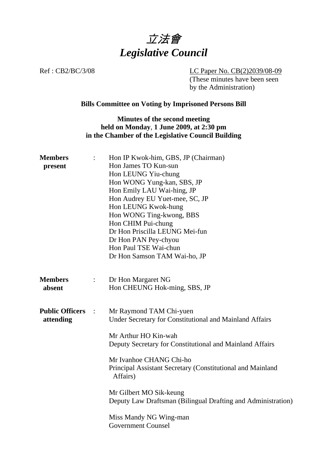

Ref : CB2/BC/3/08 LC Paper No. CB(2)2039/08-09 (These minutes have been seen by the Administration)

# **Bills Committee on Voting by Imprisoned Persons Bill**

## **Minutes of the second meeting held on Monday**, **1 June 2009, at 2:30 pm in the Chamber of the Legislative Council Building**

| <b>Members</b><br>present           | $\ddot{\phantom{a}}$ | Hon IP Kwok-him, GBS, JP (Chairman)<br>Hon James TO Kun-sun<br>Hon LEUNG Yiu-chung<br>Hon WONG Yung-kan, SBS, JP<br>Hon Emily LAU Wai-hing, JP<br>Hon Audrey EU Yuet-mee, SC, JP<br>Hon LEUNG Kwok-hung<br>Hon WONG Ting-kwong, BBS<br>Hon CHIM Pui-chung<br>Dr Hon Priscilla LEUNG Mei-fun<br>Dr Hon PAN Pey-chyou<br>Hon Paul TSE Wai-chun<br>Dr Hon Samson TAM Wai-ho, JP                                                  |
|-------------------------------------|----------------------|-------------------------------------------------------------------------------------------------------------------------------------------------------------------------------------------------------------------------------------------------------------------------------------------------------------------------------------------------------------------------------------------------------------------------------|
| <b>Members</b><br>absent            | $\ddot{\cdot}$       | Dr Hon Margaret NG<br>Hon CHEUNG Hok-ming, SBS, JP                                                                                                                                                                                                                                                                                                                                                                            |
| <b>Public Officers</b><br>attending | $\mathbb{R}^2$       | Mr Raymond TAM Chi-yuen<br>Under Secretary for Constitutional and Mainland Affairs<br>Mr Arthur HO Kin-wah<br>Deputy Secretary for Constitutional and Mainland Affairs<br>Mr Ivanhoe CHANG Chi-ho<br>Principal Assistant Secretary (Constitutional and Mainland<br>Affairs)<br>Mr Gilbert MO Sik-keung<br>Deputy Law Draftsman (Bilingual Drafting and Administration)<br>Miss Mandy NG Wing-man<br><b>Government Counsel</b> |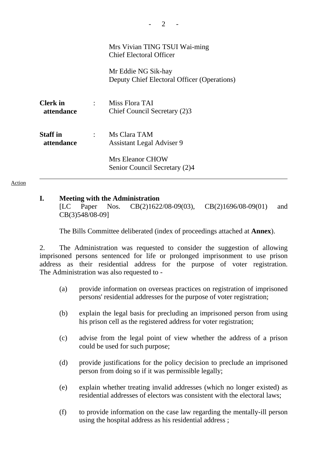|                               |                | Mrs Vivian TING TSUI Wai-ming<br><b>Chief Electoral Officer</b>    |
|-------------------------------|----------------|--------------------------------------------------------------------|
|                               |                | Mr Eddie NG Sik-hay<br>Deputy Chief Electoral Officer (Operations) |
| <b>Clerk</b> in<br>attendance | $\mathcal{L}$  | Miss Flora TAI<br>Chief Council Secretary (2)3                     |
| <b>Staff</b> in<br>attendance | $\mathbb{R}^n$ | Ms Clara TAM<br><b>Assistant Legal Adviser 9</b>                   |
|                               |                | Mrs Eleanor CHOW<br>Senior Council Secretary (2)4                  |

#### Action

### **I. Meeting with the Administration**

[LC Paper Nos. CB(2)1622/08-09(03), CB(2)1696/08-09(01) and CB(3)548/08-09]

1. The Bills Committee deliberated (index of proceedings attached at **Annex**).

2. The Administration was requested to consider the suggestion of allowing imprisoned persons sentenced for life or prolonged imprisonment to use prison address as their residential address for the purpose of voter registration. The Administration was also requested to -

- (a) provide information on overseas practices on registration of imprisoned persons' residential addresses for the purpose of voter registration;
- (b) explain the legal basis for precluding an imprisoned person from using his prison cell as the registered address for voter registration;
- (c) advise from the legal point of view whether the address of a prison could be used for such purpose;
- (d) provide justifications for the policy decision to preclude an imprisoned person from doing so if it was permissible legally;
- (e) explain whether treating invalid addresses (which no longer existed) as residential addresses of electors was consistent with the electoral laws;
- (f) to provide information on the case law regarding the mentally-ill person using the hospital address as his residential address ;

 $2<sup>-</sup>$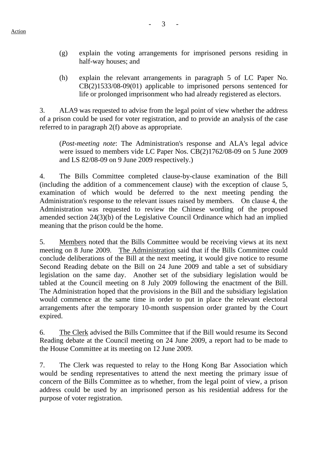- (g) explain the voting arrangements for imprisoned persons residing in half-way houses; and
- (h) explain the relevant arrangements in paragraph 5 of LC Paper No. CB(2)1533/08-09(01) applicable to imprisoned persons sentenced for life or prolonged imprisonment who had already registered as electors.

3. ALA9 was requested to advise from the legal point of view whether the address of a prison could be used for voter registration, and to provide an analysis of the case referred to in paragraph 2(f) above as appropriate.

(*Post-meeting note*: The Administration's response and ALA's legal advice were issued to members vide LC Paper Nos. CB(2)1762/08-09 on 5 June 2009 and LS 82/08-09 on 9 June 2009 respectively.)

4. The Bills Committee completed clause-by-clause examination of the Bill (including the addition of a commencement clause) with the exception of clause 5, examination of which would be deferred to the next meeting pending the Administration's response to the relevant issues raised by members. On clause 4, the Administration was requested to review the Chinese wording of the proposed amended section 24(3)(b) of the Legislative Council Ordinance which had an implied meaning that the prison could be the home.

5. Members noted that the Bills Committee would be receiving views at its next meeting on 8 June 2009. The Administration said that if the Bills Committee could conclude deliberations of the Bill at the next meeting, it would give notice to resume Second Reading debate on the Bill on 24 June 2009 and table a set of subsidiary legislation on the same day. Another set of the subsidiary legislation would be tabled at the Council meeting on 8 July 2009 following the enactment of the Bill. The Administration hoped that the provisions in the Bill and the subsidiary legislation would commence at the same time in order to put in place the relevant electoral arrangements after the temporary 10-month suspension order granted by the Court expired.

6. The Clerk advised the Bills Committee that if the Bill would resume its Second Reading debate at the Council meeting on 24 June 2009, a report had to be made to the House Committee at its meeting on 12 June 2009.

7. The Clerk was requested to relay to the Hong Kong Bar Association which would be sending representatives to attend the next meeting the primary issue of concern of the Bills Committee as to whether, from the legal point of view, a prison address could be used by an imprisoned person as his residential address for the purpose of voter registration.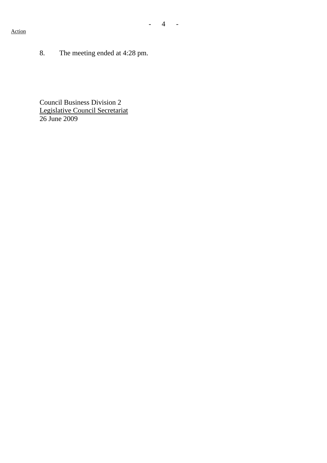## Action

8. The meeting ended at 4:28 pm.

Council Business Division 2 Legislative Council Secretariat 26 June 2009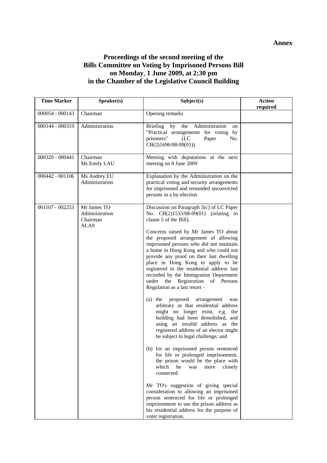#### **Annex**

## **Proceedings of the second meeting of the Bills Committee on Voting by Imprisoned Persons Bill on Monday**, **1 June 2009, at 2:30 pm in the Chamber of the Legislative Council Building**

| <b>Time Marker</b> | Speaker(s)                                        | Subject(s)                                                                                                                                                                                                                                                                                                                                                                                                                                                                                                                                                                                                                                                                                                                                                                                                                                                                                                                                                                                                                                                                                                                                                                                                                               | <b>Action</b><br>required |
|--------------------|---------------------------------------------------|------------------------------------------------------------------------------------------------------------------------------------------------------------------------------------------------------------------------------------------------------------------------------------------------------------------------------------------------------------------------------------------------------------------------------------------------------------------------------------------------------------------------------------------------------------------------------------------------------------------------------------------------------------------------------------------------------------------------------------------------------------------------------------------------------------------------------------------------------------------------------------------------------------------------------------------------------------------------------------------------------------------------------------------------------------------------------------------------------------------------------------------------------------------------------------------------------------------------------------------|---------------------------|
| 000054 - 000143    | Chairman                                          | Opening remarks                                                                                                                                                                                                                                                                                                                                                                                                                                                                                                                                                                                                                                                                                                                                                                                                                                                                                                                                                                                                                                                                                                                                                                                                                          |                           |
| 000144 - 000319    | Administration                                    | Briefing by<br>the Administration<br>on<br>"Practical arrangements for voting by<br>prisoners"<br>(LC)<br>Paper<br>No.<br>$CB(2)1696/08-09(01))$                                                                                                                                                                                                                                                                                                                                                                                                                                                                                                                                                                                                                                                                                                                                                                                                                                                                                                                                                                                                                                                                                         |                           |
| 000320 - 000441    | Chairman<br>Ms Emily LAU                          | Meeting with deputations at the next<br>meeting on 8 June 2009                                                                                                                                                                                                                                                                                                                                                                                                                                                                                                                                                                                                                                                                                                                                                                                                                                                                                                                                                                                                                                                                                                                                                                           |                           |
| 000442 - 001106    | Ms Audrey EU<br>Administration                    | Explanation by the Administration on the<br>practical voting and security arrangements<br>for imprisoned and remanded unconvicted<br>persons in a by-election                                                                                                                                                                                                                                                                                                                                                                                                                                                                                                                                                                                                                                                                                                                                                                                                                                                                                                                                                                                                                                                                            |                           |
| $001107 - 002253$  | Mr James TO<br>Administration<br>Chairman<br>ALA9 | Discussion on Paragraph 5(c) of LC Paper<br>No. CB(2)1533/08-09(01) (relating to<br>clause 5 of the Bill).<br>Concerns raised by Mr James TO about<br>the proposed arrangement of allowing<br>imprisoned persons who did not maintain<br>a home in Hong Kong and who could not<br>provide any proof on their last dwelling<br>place in Hong Kong to apply to be<br>registered to the residential address last<br>recorded by the Immigration Department<br>under the Registration of Persons<br>Regulation as a last resort -<br>(a) the proposed<br>arrangement<br>was<br>arbitrary as that residential address<br>might no longer exist, e.g. the<br>building had been demolished, and<br>using an invalid address as the<br>registered address of an elector might<br>be subject to legal challenge; and<br>(b) for an imprisoned person sentenced<br>for life or prolonged imprisonment,<br>the prison would be the place with<br>which<br>he<br>was<br>more<br>closely<br>connected.<br>Mr TO's suggestion of giving special<br>consideration to allowing an imprisoned<br>person sentenced for life or prolonged<br>imprisonment to use the prison address as<br>his residential address for the purpose of<br>voter registration. |                           |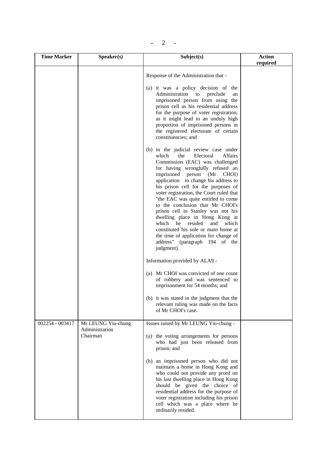|--|

| <b>Time Marker</b> | Speaker(s)                                       | Subject(s)                                                                                                                                                                                                                                                                                                                                                                                                                                                                                                                                                                                                                                       | <b>Action</b><br>required |
|--------------------|--------------------------------------------------|--------------------------------------------------------------------------------------------------------------------------------------------------------------------------------------------------------------------------------------------------------------------------------------------------------------------------------------------------------------------------------------------------------------------------------------------------------------------------------------------------------------------------------------------------------------------------------------------------------------------------------------------------|---------------------------|
|                    |                                                  | Response of the Administration that -                                                                                                                                                                                                                                                                                                                                                                                                                                                                                                                                                                                                            |                           |
|                    |                                                  | (a) it was a policy decision of the<br>Administration to<br>preclude<br>an<br>imprisoned person from using the<br>prison cell as his residential address<br>for the purpose of voter registration,<br>as it might lead to an unduly high<br>proportion of imprisoned persons in<br>the registered electorate of certain<br>constituencies; and                                                                                                                                                                                                                                                                                                   |                           |
|                    |                                                  | (b) in the judicial review case under<br>which<br>Electoral<br><b>Affairs</b><br>the<br>Commission (EAC) was challenged<br>for having wrongfully refused an<br>imprisoned person (Mr<br>CHOI)<br>application to change his address to<br>his prison cell for the purposes of<br>voter registration, the Court ruled that<br>"the EAC was quite entitled to come<br>to the conclusion that Mr CHOI's<br>prison cell in Stanley was not his<br>dwelling place in Hong Kong at<br>which he resided<br>and<br>which<br>constituted his sole or main home at<br>the time of application for change of<br>address" (paragraph 194 of the<br>judgment). |                           |
|                    |                                                  | Information provided by ALA9 -                                                                                                                                                                                                                                                                                                                                                                                                                                                                                                                                                                                                                   |                           |
|                    |                                                  | (a) Mr CHOI was convicted of one count<br>of robbery and was sentenced to<br>imprisonment for 54 months; and                                                                                                                                                                                                                                                                                                                                                                                                                                                                                                                                     |                           |
|                    |                                                  | (b) it was stated in the judgment that the<br>relevant ruling was made on the facts<br>of Mr CHOI's case.                                                                                                                                                                                                                                                                                                                                                                                                                                                                                                                                        |                           |
| 002254 - 003417    | Mr LEUNG Yiu-chung<br>Administration<br>Chairman | Issues raised by Mr LEUNG Yiu-chung -<br>(a) the voting arrangements for persons<br>who had just been released from<br>prison; and<br>(b) an imprisoned person who did not<br>maintain a home in Hong Kong and<br>who could not provide any proof on<br>his last dwelling place in Hong Kong<br>should be given the choice of<br>residential address for the purpose of<br>voter registration including his prison<br>cell which was a place where he<br>ordinarily resided.                                                                                                                                                                     |                           |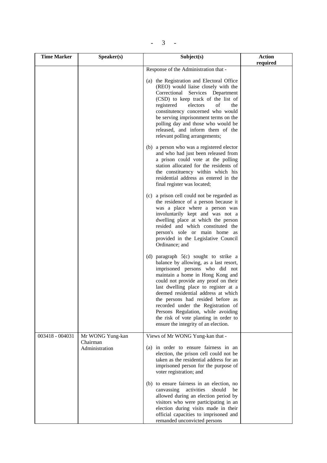$- 3 - 1$ 

| <b>Time Marker</b> | Speaker(s)                                     | Subject(s)                                                                                                                                                                                                                                                                                                                                                                                                                                                                     | <b>Action</b><br>required |
|--------------------|------------------------------------------------|--------------------------------------------------------------------------------------------------------------------------------------------------------------------------------------------------------------------------------------------------------------------------------------------------------------------------------------------------------------------------------------------------------------------------------------------------------------------------------|---------------------------|
|                    |                                                | Response of the Administration that -                                                                                                                                                                                                                                                                                                                                                                                                                                          |                           |
|                    |                                                | (a) the Registration and Electoral Office<br>(REO) would liaise closely with the<br>Correctional Services Department<br>(CSD) to keep track of the list of<br>registered<br>of<br>electors<br>the<br>constitutency concerned who would<br>be serving imprisonment terms on the<br>polling day and those who would be<br>released, and inform them of the<br>relevant polling arrangements;                                                                                     |                           |
|                    |                                                | (b) a person who was a registered elector<br>and who had just been released from<br>a prison could vote at the polling<br>station allocated for the residents of<br>the constituency within which his<br>residential address as entered in the<br>final register was located;                                                                                                                                                                                                  |                           |
|                    |                                                | (c) a prison cell could not be regarded as<br>the residence of a person because it<br>was a place where a person was<br>involuntarily kept and was not a<br>dwelling place at which the person<br>resided and which constituted the<br>person's sole or main home as<br>provided in the Legislative Council<br>Ordinance; and                                                                                                                                                  |                           |
|                    |                                                | (d) paragraph 5(c) sought to strike a<br>balance by allowing, as a last resort,<br>imprisoned persons who did not<br>maintain a home in Hong Kong and<br>could not provide any proof on their<br>last dwelling place to register at a<br>deemed residential address at which<br>the persons had resided before as<br>recorded under the Registration of<br>Persons Regulation, while avoiding<br>the risk of vote planting in order to<br>ensure the integrity of an election. |                           |
| 003418 - 004031    | Mr WONG Yung-kan<br>Chairman<br>Administration | Views of Mr WONG Yung-kan that -<br>(a) in order to ensure fairness in an<br>election, the prison cell could not be<br>taken as the residential address for an<br>imprisoned person for the purpose of<br>voter registration; and                                                                                                                                                                                                                                              |                           |
|                    |                                                | (b) to ensure fairness in an election, no<br>canvassing<br>activities<br>should<br>be<br>allowed during an election period by<br>visitors who were participating in an<br>election during visits made in their<br>official capacities to imprisoned and<br>remanded unconvicted persons                                                                                                                                                                                        |                           |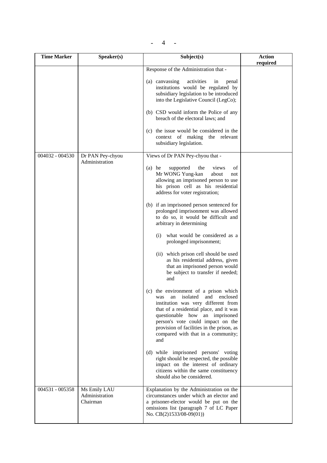$- 4 -$ 

| <b>Time Marker</b> | Speaker(s)                                 | Subject(s)                                                                                                                                                                                                                                                                                                                                                    | <b>Action</b><br>required |
|--------------------|--------------------------------------------|---------------------------------------------------------------------------------------------------------------------------------------------------------------------------------------------------------------------------------------------------------------------------------------------------------------------------------------------------------------|---------------------------|
|                    |                                            | Response of the Administration that -                                                                                                                                                                                                                                                                                                                         |                           |
|                    |                                            | (a) canvassing<br>activities<br>in<br>penal<br>institutions would be regulated by<br>subsidiary legislation to be introduced<br>into the Legislative Council (LegCo);<br>(b) CSD would inform the Police of any<br>breach of the electoral laws; and<br>(c) the issue would be considered in the<br>context of making the relevant<br>subsidiary legislation. |                           |
| 004032 - 004530    | Dr PAN Pey-chyou                           | Views of Dr PAN Pey-chyou that -                                                                                                                                                                                                                                                                                                                              |                           |
|                    | Administration                             | $(a)$ he<br>supported<br>the<br>views<br>οf<br>Mr WONG Yung-kan<br>about<br>not<br>allowing an imprisoned person to use<br>his prison cell as his residential<br>address for voter registration;<br>(b) if an imprisoned person sentenced for                                                                                                                 |                           |
|                    |                                            | prolonged imprisonment was allowed<br>to do so, it would be difficult and<br>arbitrary in determining                                                                                                                                                                                                                                                         |                           |
|                    |                                            | what would be considered as a<br>(i)<br>prolonged imprisonment;                                                                                                                                                                                                                                                                                               |                           |
|                    |                                            | (ii) which prison cell should be used<br>as his residential address, given<br>that an imprisoned person would<br>be subject to transfer if needed;<br>and                                                                                                                                                                                                     |                           |
|                    |                                            | (c) the environment of a prison which<br>was an isolated and enclosed<br>institution was very different from<br>that of a residential place, and it was<br>questionable how an imprisoned<br>person's vote could impact on the<br>provision of facilities in the prison, as<br>compared with that in a community;<br>and                                      |                           |
|                    |                                            | (d) while imprisoned persons' voting<br>right should be respected, the possible<br>impact on the interest of ordinary<br>citizens within the same constituency<br>should also be considered.                                                                                                                                                                  |                           |
| 004531 - 005358    | Ms Emily LAU<br>Administration<br>Chairman | Explanation by the Administration on the<br>circumstances under which an elector and<br>a prisoner-elector would be put on the<br>omissions list (paragraph 7 of LC Paper<br>No. CB(2)1533/08-09(01))                                                                                                                                                         |                           |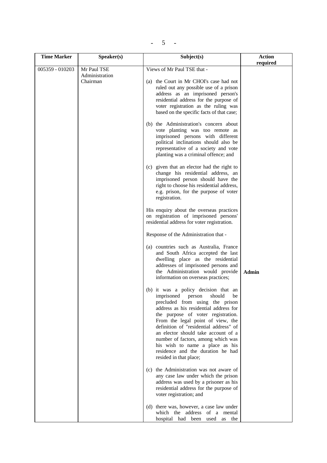| <b>Time Marker</b> | Speaker(s)                                | Subject(s)                                                                                                                                                                                                                                                                                                                                                                                                                                                    | <b>Action</b> |
|--------------------|-------------------------------------------|---------------------------------------------------------------------------------------------------------------------------------------------------------------------------------------------------------------------------------------------------------------------------------------------------------------------------------------------------------------------------------------------------------------------------------------------------------------|---------------|
| 005359 - 010203    | Mr Paul TSE<br>Administration<br>Chairman | Views of Mr Paul TSE that -<br>(a) the Court in Mr CHOI's case had not<br>ruled out any possible use of a prison<br>address as an imprisoned person's<br>residential address for the purpose of<br>voter registration as the ruling was<br>based on the specific facts of that case;<br>(b) the Administration's concern about<br>vote planting was too remote as<br>imprisoned persons with different<br>political inclinations should also be               | required      |
|                    |                                           | representative of a society and vote<br>planting was a criminal offence; and<br>(c) given that an elector had the right to<br>change his residential address, an<br>imprisoned person should have the<br>right to choose his residential address,<br>e.g. prison, for the purpose of voter<br>registration.<br>His enquiry about the overseas practices<br>on registration of imprisoned persons'<br>residential address for voter registration.              |               |
|                    |                                           | Response of the Administration that -                                                                                                                                                                                                                                                                                                                                                                                                                         |               |
|                    |                                           | (a) countries such as Australia, France<br>and South Africa accepted the last<br>dwelling place as the residential<br>addresses of imprisoned persons and<br>the Administration would provide<br>information on overseas practices;                                                                                                                                                                                                                           | <b>Admin</b>  |
|                    |                                           | (b) it was a policy decision that an<br>imprisoned<br>should<br>person<br>be<br>precluded from using the prison<br>address as his residential address for<br>the purpose of voter registration.<br>From the legal point of view, the<br>definition of "residential address" of<br>an elector should take account of a<br>number of factors, among which was<br>his wish to name a place as his<br>residence and the duration he had<br>resided in that place; |               |
|                    |                                           | (c) the Administration was not aware of<br>any case law under which the prison<br>address was used by a prisoner as his<br>residential address for the purpose of<br>voter registration; and                                                                                                                                                                                                                                                                  |               |
|                    |                                           | (d) there was, however, a case law under<br>which the address of a mental<br>hospital had been used as the                                                                                                                                                                                                                                                                                                                                                    |               |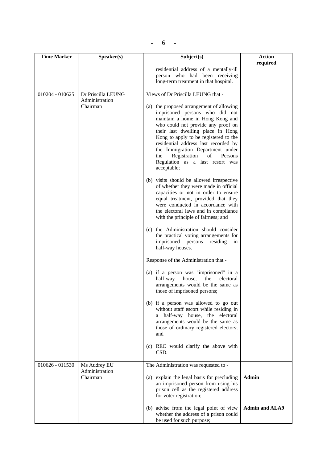| - |
|---|
|---|

| <b>Time Marker</b> | Speaker(s)                                 | Subject(s)                                                                                                                                                                                                                                                                                                                                                                                                                                            | <b>Action</b>         |
|--------------------|--------------------------------------------|-------------------------------------------------------------------------------------------------------------------------------------------------------------------------------------------------------------------------------------------------------------------------------------------------------------------------------------------------------------------------------------------------------------------------------------------------------|-----------------------|
|                    |                                            |                                                                                                                                                                                                                                                                                                                                                                                                                                                       | required              |
|                    |                                            | residential address of a mentally-ill<br>person who had been receiving<br>long-term treatment in that hospital.                                                                                                                                                                                                                                                                                                                                       |                       |
| 010204 - 010625    | Dr Priscilla LEUNG                         | Views of Dr Priscilla LEUNG that -                                                                                                                                                                                                                                                                                                                                                                                                                    |                       |
|                    | Administration<br>Chairman                 | (a) the proposed arrangement of allowing<br>imprisoned persons who did not<br>maintain a home in Hong Kong and<br>who could not provide any proof on<br>their last dwelling place in Hong<br>Kong to apply to be registered to the<br>residential address last recorded by<br>the Immigration Department under<br>Registration<br>of<br>Persons<br>the<br>Regulation as a last resort was<br>acceptable;<br>(b) visits should be allowed irrespective |                       |
|                    |                                            | of whether they were made in official<br>capacities or not in order to ensure<br>equal treatment, provided that they<br>were conducted in accordance with<br>the electoral laws and in compliance<br>with the principle of fairness; and<br>(c) the Administration should consider                                                                                                                                                                    |                       |
|                    |                                            | the practical voting arrangements for<br>imprisoned<br>persons<br>residing<br>in<br>half-way houses.                                                                                                                                                                                                                                                                                                                                                  |                       |
|                    |                                            | Response of the Administration that -                                                                                                                                                                                                                                                                                                                                                                                                                 |                       |
|                    |                                            | (a) if a person was "imprisoned" in a<br>half-way<br>house,<br>the<br>electoral<br>arrangements would be the same as<br>those of imprisoned persons;                                                                                                                                                                                                                                                                                                  |                       |
|                    |                                            | (b) if a person was allowed to go out<br>without staff escort while residing in<br>a half-way house, the electoral<br>arrangements would be the same as<br>those of ordinary registered electors;<br>and                                                                                                                                                                                                                                              |                       |
|                    |                                            | (c) REO would clarify the above with<br>CSD.                                                                                                                                                                                                                                                                                                                                                                                                          |                       |
| 010626 - 011530    | Ms Audrey EU<br>Administration<br>Chairman | The Administration was requested to -<br>(a) explain the legal basis for precluding<br>an imprisoned person from using his<br>prison cell as the registered address<br>for voter registration;                                                                                                                                                                                                                                                        | <b>Admin</b>          |
|                    |                                            | (b) advise from the legal point of view<br>whether the address of a prison could<br>be used for such purpose;                                                                                                                                                                                                                                                                                                                                         | <b>Admin and ALA9</b> |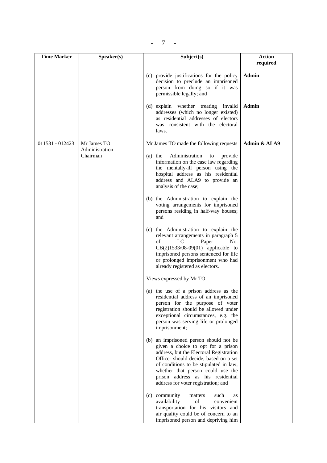$- 7 -$ 

| <b>Time Marker</b> | Speaker(s)                 | Subject(s)                                                                                                                                                                                                                                                                                                                                                            | <b>Action</b> |
|--------------------|----------------------------|-----------------------------------------------------------------------------------------------------------------------------------------------------------------------------------------------------------------------------------------------------------------------------------------------------------------------------------------------------------------------|---------------|
|                    |                            |                                                                                                                                                                                                                                                                                                                                                                       | required      |
|                    |                            | (c) provide justifications for the policy<br>decision to preclude an imprisoned<br>person from doing so if it was<br>permissible legally; and                                                                                                                                                                                                                         | Admin         |
|                    |                            | (d) explain whether treating invalid<br>addresses (which no longer existed)<br>as residential addresses of electors<br>was consistent with the electoral<br>laws.                                                                                                                                                                                                     | <b>Admin</b>  |
| 011531 - 012423    | Mr James TO                | Mr James TO made the following requests                                                                                                                                                                                                                                                                                                                               | Admin & ALA9  |
|                    | Administration<br>Chairman | Administration<br>$(a)$ the<br>provide<br>to<br>information on the case law regarding<br>the mentally-ill person using the<br>hospital address as his residential<br>address and ALA9 to provide an<br>analysis of the case;                                                                                                                                          |               |
|                    |                            | (b) the Administration to explain the<br>voting arrangements for imprisoned<br>persons residing in half-way houses;<br>and                                                                                                                                                                                                                                            |               |
|                    |                            | (c) the Administration to explain the<br>relevant arrangements in paragraph 5<br>of<br>LC<br>Paper<br>No.<br>$CB(2)1533/08-09(01)$ applicable to<br>imprisoned persons sentenced for life<br>or prolonged imprisonment who had<br>already registered as electors.                                                                                                     |               |
|                    |                            | Views expressed by Mr TO -                                                                                                                                                                                                                                                                                                                                            |               |
|                    |                            | (a) the use of a prison address as the<br>residential address of an imprisoned<br>person for the purpose of voter<br>registration should be allowed under<br>exceptional circumstances, e.g. the<br>person was serving life or prolonged<br>imprisonment;                                                                                                             |               |
|                    |                            | (b) an imprisoned person should not be<br>given a choice to opt for a prison<br>address, but the Electoral Registration<br>Officer should decide, based on a set<br>of conditions to be stipulated in law,<br>whether that person could use the<br>prison address as his residential<br>address for voter registration; and<br>(c) community<br>matters<br>such<br>as |               |
|                    |                            | of<br>availability<br>convenient<br>transportation for his visitors and<br>air quality could be of concern to an<br>imprisoned person and depriving him                                                                                                                                                                                                               |               |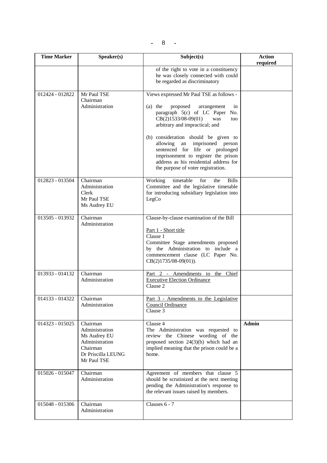| <b>Time Marker</b> | Speaker(s)                                                                                                    | Subject(s)                                                                                                                                                                                                                                                                                                                                                                                                                                  | <b>Action</b><br>required |
|--------------------|---------------------------------------------------------------------------------------------------------------|---------------------------------------------------------------------------------------------------------------------------------------------------------------------------------------------------------------------------------------------------------------------------------------------------------------------------------------------------------------------------------------------------------------------------------------------|---------------------------|
|                    |                                                                                                               | of the right to vote in a constituency<br>he was closely connected with could<br>be regarded as discriminatory                                                                                                                                                                                                                                                                                                                              |                           |
| 012424 - 012822    | Mr Paul TSE<br>Chairman<br>Administration                                                                     | Views expressed Mr Paul TSE as follows -<br>$(a)$ the<br>proposed<br>arrangement<br>in<br>paragraph 5(c) of LC Paper No.<br>CB(2)1533/08-09(01)<br>was<br>too<br>arbitrary and impractical; and<br>(b) consideration should be given to<br>allowing<br>an<br>imprisoned<br>person<br>sentenced for life or prolonged<br>imprisonment to register the prison<br>address as his residential address for<br>the purpose of voter registration. |                           |
| 012823 - 013504    | Chairman<br>Administration<br>Clerk<br>Mr Paul TSE<br>Ms Audrey EU                                            | Working<br>timetable<br>for<br>the<br><b>Bills</b><br>Committee and the legislative timetable<br>for introducing subsidiary legislation into<br>LegCo                                                                                                                                                                                                                                                                                       |                           |
| 013505 - 013932    | Chairman<br>Administration                                                                                    | Clause-by-clause examination of the Bill<br>Part 1 - Short title<br>Clause 1<br>Committee Stage amendments proposed<br>by the Administration to include a<br>commencement clause (LC Paper No.<br>$CB(2)1735/08-09(01)).$                                                                                                                                                                                                                   |                           |
| 013933 - 014132    | Chairman<br>Administration                                                                                    | Part 2 - Amendments to the Chief<br><b>Executive Election Ordinance</b><br>Clause 2                                                                                                                                                                                                                                                                                                                                                         |                           |
| 014133 - 014322    | Chairman<br>Administration                                                                                    | Part 3 - Amendments to the Legislative<br>Council Ordinance<br>Clause 3                                                                                                                                                                                                                                                                                                                                                                     |                           |
| 014323 - 015025    | Chairman<br>Administration<br>Ms Audrey EU<br>Administration<br>Chairman<br>Dr Priscilla LEUNG<br>Mr Paul TSE | Clause 4<br>The Administration was requested to<br>review the Chinese wording of the<br>proposed section $24(3)(b)$ which had an<br>implied meaning that the prison could be a<br>home.                                                                                                                                                                                                                                                     | <b>Admin</b>              |
| 015026 - 015047    | Chairman<br>Administration                                                                                    | Agreement of members that clause 5<br>should be scrutinized at the next meeting<br>pending the Administration's response to<br>the relevant issues raised by members.                                                                                                                                                                                                                                                                       |                           |
| 015048 - 015306    | Chairman<br>Administration                                                                                    | Clauses 6 - 7                                                                                                                                                                                                                                                                                                                                                                                                                               |                           |